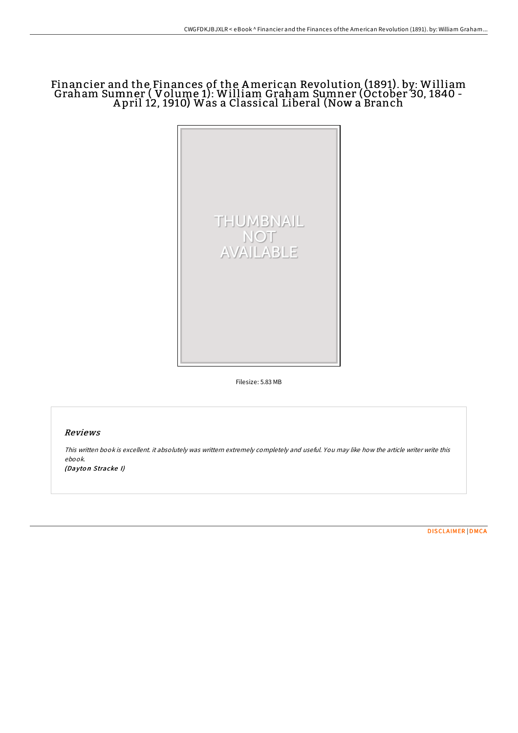# Financier and the Finances of the American Revolution (1891). by: William Graham Sumner ( Volume 1): William Graham Sumner (October 30, 1840 - A pril 12, 1910) Was a Classical Liberal (Now a Branch



Filesize: 5.83 MB

### Reviews

This written book is excellent. it absolutely was writtern extremely completely and useful. You may like how the article writer write this ebook. (Dayton Stracke I)

[DISCLAIMER](http://almighty24.tech/disclaimer.html) | [DMCA](http://almighty24.tech/dmca.html)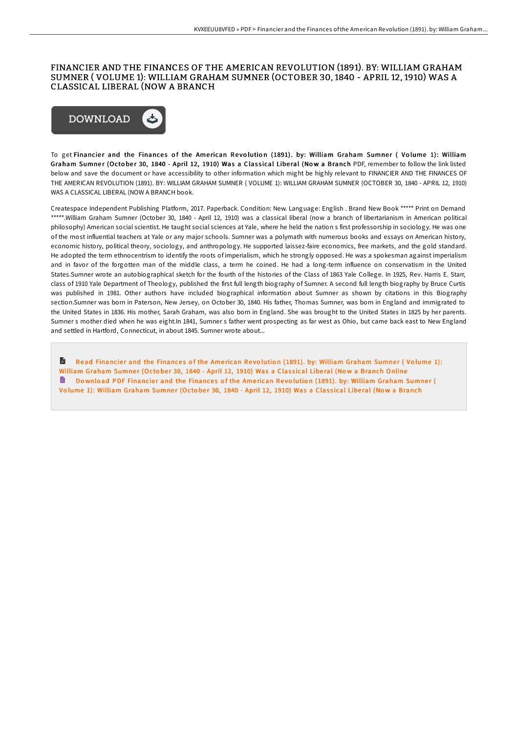#### FINANCIER AND THE FINANCES OF THE AMERICAN REVOLUTION (1891). BY: WILLIAM GRAHAM SUMNER ( VOLUME 1): WILLIAM GRAHAM SUMNER (OCTOBER 30, 1840 - APRIL 12, 1910) WAS A CLASSICAL LIBERAL (NOW A BRANCH



To get Financier and the Finances of the American Revolution (1891). by: William Graham Sumner (Volume 1): William Graham Sumner (October 30, 1840 - April 12, 1910) Was a Classical Liberal (Now a Branch PDF, remember to follow the link listed below and save the document or have accessibility to other information which might be highly relevant to FINANCIER AND THE FINANCES OF THE AMERICAN REVOLUTION (1891). BY: WILLIAM GRAHAM SUMNER ( VOLUME 1): WILLIAM GRAHAM SUMNER (OCTOBER 30, 1840 - APRIL 12, 1910) WAS A CLASSICAL LIBERAL (NOW A BRANCH book.

Createspace Independent Publishing Platform, 2017. Paperback. Condition: New. Language: English . Brand New Book \*\*\*\*\* Print on Demand \*\*\*\*\*.William Graham Sumner (October 30, 1840 - April 12, 1910) was a classical liberal (now a branch of libertarianism in American political philosophy) American social scientist. He taught social sciences at Yale, where he held the nation s first professorship in sociology. He was one of the most influential teachers at Yale or any major schools. Sumner was a polymath with numerous books and essays on American history, economic history, political theory, sociology, and anthropology. He supported laissez-faire economics, free markets, and the gold standard. He adopted the term ethnocentrism to identify the roots of imperialism, which he strongly opposed. He was a spokesman against imperialism and in favor of the forgotten man of the middle class, a term he coined. He had a long-term influence on conservatism in the United States.Sumner wrote an autobiographical sketch for the fourth of the histories of the Class of 1863 Yale College. In 1925, Rev. Harris E. Starr, class of 1910 Yale Department of Theology, published the first full length biography of Sumner. A second full length biography by Bruce Curtis was published in 1981. Other authors have included biographical information about Sumner as shown by citations in this Biography section.Sumner was born in Paterson, New Jersey, on October 30, 1840. His father, Thomas Sumner, was born in England and immigrated to the United States in 1836. His mother, Sarah Graham, was also born in England. She was brought to the United States in 1825 by her parents. Sumner s mother died when he was eight.In 1841, Sumner s father went prospecting as far west as Ohio, but came back east to New England and settled in Hartford, Connecticut, in about 1845. Sumner wrote about...

A Read [Financie](http://almighty24.tech/financier-and-the-finances-of-the-american-revol.html)r and the Finances of the American Revolution (1891). by: William Graham Sumner (Volume 1): William Graham Sumner (October 30, 1840 - April 12, 1910) Was a Classical Liberal (Now a Branch Online Download PDF [Financie](http://almighty24.tech/financier-and-the-finances-of-the-american-revol.html)r and the Finances of the American Revolution (1891). by: William Graham Sumner ( Volume 1): William Graham Sumner (October 30, 1840 - April 12, 1910) Was a Classical Liberal (Now a Branch